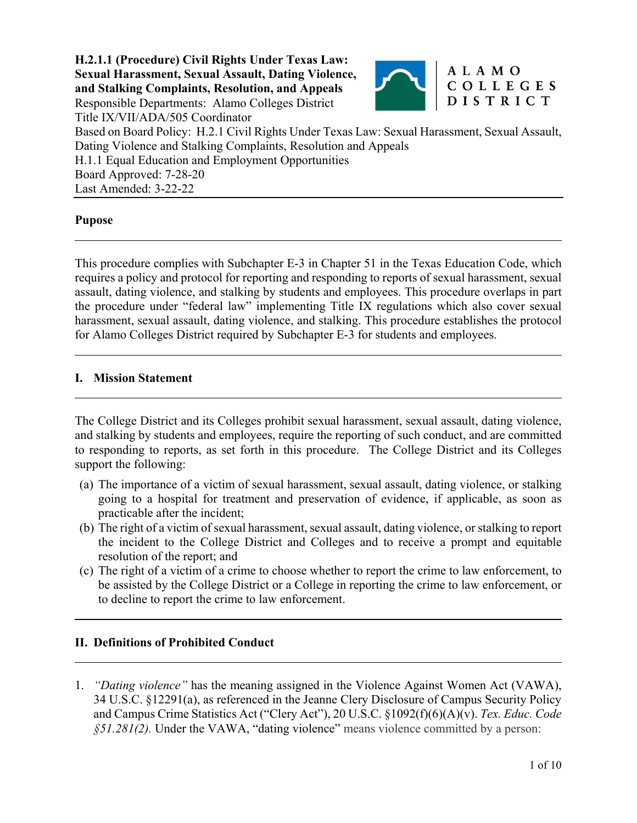

### ALAMO COLLEGES DISTRICT

Title IX/VII/ADA/505 Coordinator Based on Board Policy: H.2.1 Civil Rights Under Texas Law: Sexual Harassment, Sexual Assault, Dating Violence and Stalking Complaints, Resolution and Appeals H.1.1 Equal Education and Employment Opportunities Board Approved: 7-28-20 Last Amended: 3-22-22

### **Pupose**

 $\overline{a}$ 

 $\overline{a}$ 

 $\overline{a}$ 

 $\overline{a}$ 

This procedure complies with Subchapter E-3 in Chapter 51 in the Texas Education Code, which requires a policy and protocol for reporting and responding to reports of sexual harassment, sexual assault, dating violence, and stalking by students and employees. This procedure overlaps in part the procedure under "federal law" implementing Title IX regulations which also cover sexual harassment, sexual assault, dating violence, and stalking. This procedure establishes the protocol for Alamo Colleges District required by Subchapter E-3 for students and employees.

### **I. Mission Statement**

The College District and its Colleges prohibit sexual harassment, sexual assault, dating violence, and stalking by students and employees, require the reporting of such conduct, and are committed to responding to reports, as set forth in this procedure. The College District and its Colleges support the following:

- (a) The importance of a victim of sexual harassment, sexual assault, dating violence, or stalking going to a hospital for treatment and preservation of evidence, if applicable, as soon as practicable after the incident;
- (b) The right of a victim of sexual harassment, sexual assault, dating violence, or stalking to report the incident to the College District and Colleges and to receive a prompt and equitable resolution of the report; and
- (c) The right of a victim of a crime to choose whether to report the crime to law enforcement, to be assisted by the College District or a College in reporting the crime to law enforcement, or to decline to report the crime to law enforcement.

### **II. Definitions of Prohibited Conduct**

1. *"Dating violence"* has the meaning assigned in the Violence Against Women Act (VAWA), 34 U.S.C. §12291(a), as referenced in the Jeanne Clery Disclosure of Campus Security Policy and Campus Crime Statistics Act ("Clery Act"), 20 U.S.C. §1092(f)(6)(A)(v). *Tex. Educ. Code §51.281(2).* Under the VAWA, "dating violence" means violence committed by a person: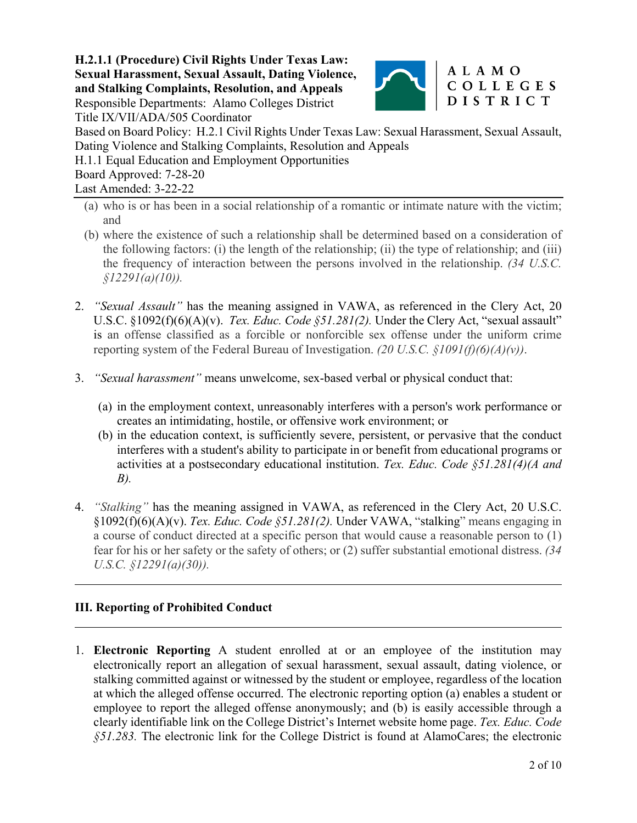

### ALAMO COLLEGES **DISTRICT**

Title IX/VII/ADA/505 Coordinator Based on Board Policy: H.2.1 Civil Rights Under Texas Law: Sexual Harassment, Sexual Assault, Dating Violence and Stalking Complaints, Resolution and Appeals H.1.1 Equal Education and Employment Opportunities Board Approved: 7-28-20 Last Amended: 3-22-22

- (a) who is or has been in a social relationship of a romantic or intimate nature with the victim; and
- (b) where the existence of such a relationship shall be determined based on a consideration of the following factors: (i) the length of the relationship; (ii) the type of relationship; and (iii) the frequency of interaction between the persons involved in the relationship. *(34 U.S.C. §12291(a)(10)).*
- 2. *"Sexual Assault"* has the meaning assigned in VAWA, as referenced in the Clery Act, 20 U.S.C. §1092(f)(6)(A)(v). *Tex. Educ. Code §51.281(2).* Under the Clery Act, "sexual assault" is an offense classified as a forcible or nonforcible sex offense under the uniform crime reporting system of the Federal Bureau of Investigation. *(20 U.S.C. §1091(f)(6)(A)(v))*.
- 3. *"Sexual harassment"* means unwelcome, sex-based verbal or physical conduct that:
	- (a) in the employment context, unreasonably interferes with a person's work performance or creates an intimidating, hostile, or offensive work environment; or
	- (b) in the education context, is sufficiently severe, persistent, or pervasive that the conduct interferes with a student's ability to participate in or benefit from educational programs or activities at a postsecondary educational institution. *Tex. Educ. Code §51.281(4)(A and B).*
- 4. *"Stalking"* has the meaning assigned in VAWA, as referenced in the Clery Act, 20 U.S.C. §1092(f)(6)(A)(v). *Tex. Educ. Code §51.281(2).* Under VAWA, "stalking" means engaging in a course of conduct directed at a specific person that would cause a reasonable person to (1) fear for his or her safety or the safety of others; or (2) suffer substantial emotional distress. *(34 U.S.C. §12291(a)(30)).*

## **III. Reporting of Prohibited Conduct**

 $\overline{a}$ 

1. **Electronic Reporting** A student enrolled at or an employee of the institution may electronically report an allegation of sexual harassment, sexual assault, dating violence, or stalking committed against or witnessed by the student or employee, regardless of the location at which the alleged offense occurred. The electronic reporting option (a) enables a student or employee to report the alleged offense anonymously; and (b) is easily accessible through a clearly identifiable link on the College District's Internet website home page. *Tex. Educ. Code §51.283.* The electronic link for the College District is found at AlamoCares; the electronic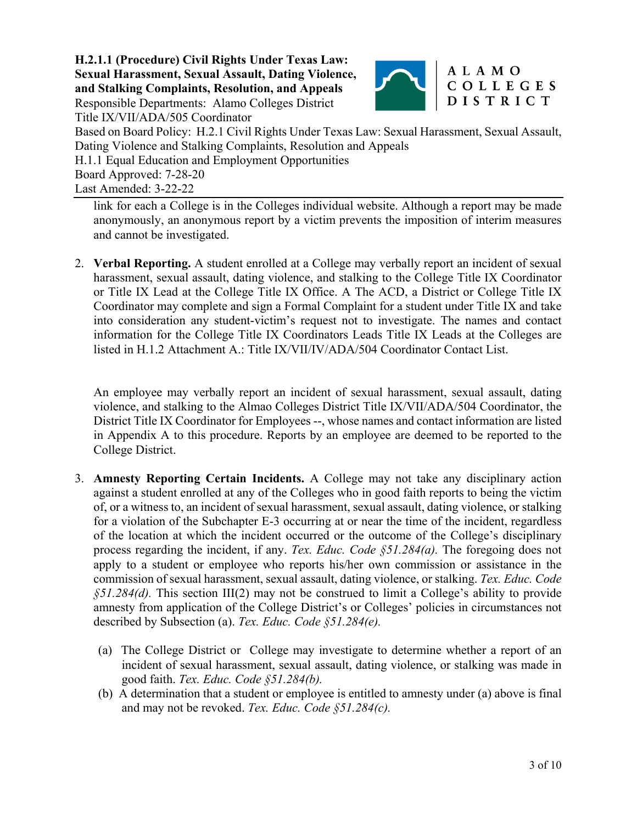

#### ALAMO COLLEGES **DISTRICT**

Title IX/VII/ADA/505 Coordinator Based on Board Policy: H.2.1 Civil Rights Under Texas Law: Sexual Harassment, Sexual Assault, Dating Violence and Stalking Complaints, Resolution and Appeals H.1.1 Equal Education and Employment Opportunities Board Approved: 7-28-20

Last Amended: 3-22-22

link for each a College is in the Colleges individual website. Although a report may be made anonymously, an anonymous report by a victim prevents the imposition of interim measures and cannot be investigated.

2. **Verbal Reporting.** A student enrolled at a College may verbally report an incident of sexual harassment, sexual assault, dating violence, and stalking to the College Title IX Coordinator or Title IX Lead at the College Title IX Office. A The ACD, a District or College Title IX Coordinator may complete and sign a Formal Complaint for a student under Title IX and take into consideration any student-victim's request not to investigate. The names and contact information for the College Title IX Coordinators Leads Title IX Leads at the Colleges are listed in H.1.2 Attachment A.: Title IX/VII/IV/ADA/504 Coordinator Contact List.

An employee may verbally report an incident of sexual harassment, sexual assault, dating violence, and stalking to the Almao Colleges District Title IX/VII/ADA/504 Coordinator, the District Title IX Coordinator for Employees --, whose names and contact information are listed in Appendix A to this procedure. Reports by an employee are deemed to be reported to the College District.

- 3. **Amnesty Reporting Certain Incidents.** A College may not take any disciplinary action against a student enrolled at any of the Colleges who in good faith reports to being the victim of, or a witness to, an incident of sexual harassment, sexual assault, dating violence, or stalking for a violation of the Subchapter E-3 occurring at or near the time of the incident, regardless of the location at which the incident occurred or the outcome of the College's disciplinary process regarding the incident, if any. *Tex. Educ. Code §51.284(a).* The foregoing does not apply to a student or employee who reports his/her own commission or assistance in the commission of sexual harassment, sexual assault, dating violence, or stalking. *Tex. Educ. Code §51.284(d).* This section III(2) may not be construed to limit a College's ability to provide amnesty from application of the College District's or Colleges' policies in circumstances not described by Subsection (a). *Tex. Educ. Code §51.284(e).*
	- (a) The College District or College may investigate to determine whether a report of an incident of sexual harassment, sexual assault, dating violence, or stalking was made in good faith. *Tex. Educ. Code §51.284(b).*
	- (b) A determination that a student or employee is entitled to amnesty under (a) above is final and may not be revoked. *Tex. Educ. Code §51.284(c).*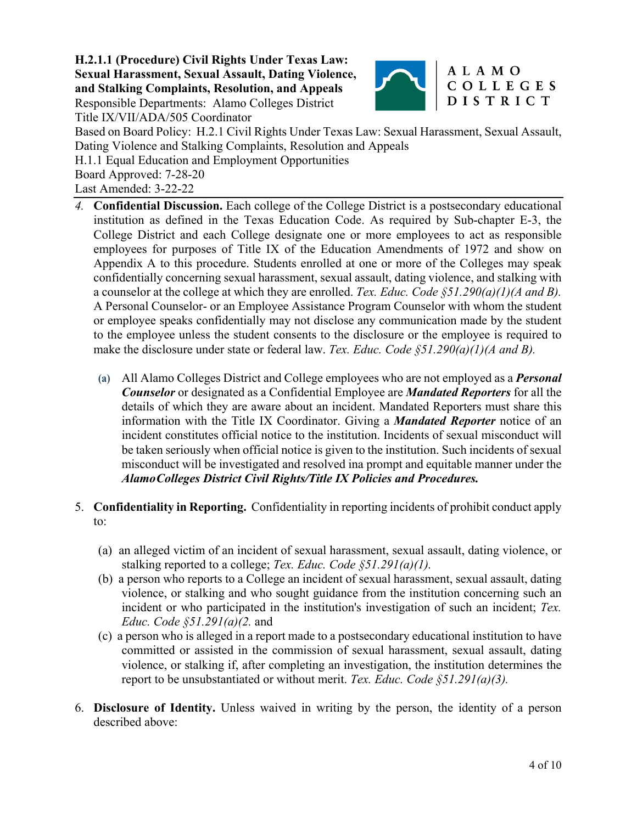

### ALAMO COLLEGES **DISTRICT**

Title IX/VII/ADA/505 Coordinator Based on Board Policy: H.2.1 Civil Rights Under Texas Law: Sexual Harassment, Sexual Assault, Dating Violence and Stalking Complaints, Resolution and Appeals H.1.1 Equal Education and Employment Opportunities Board Approved: 7-28-20 Last Amended: 3-22-22

- *4.* **Confidential Discussion.** Each college of the College District is a postsecondary educational institution as defined in the Texas Education Code. As required by Sub-chapter E-3, the College District and each College designate one or more employees to act as responsible employees for purposes of Title IX of the Education Amendments of 1972 and show on Appendix A to this procedure. Students enrolled at one or more of the Colleges may speak confidentially concerning sexual harassment, sexual assault, dating violence, and stalking with a counselor at the college at which they are enrolled. *Tex. Educ. Code §51.290(a)(1)(A and B).* A Personal Counselor- or an Employee Assistance Program Counselor with whom the student or employee speaks confidentially may not disclose any communication made by the student to the employee unless the student consents to the disclosure or the employee is required to make the disclosure under state or federal law. *Tex. Educ. Code §51.290(a)(1)(A and B).* 
	- **(a)** All Alamo Colleges District and College employees who are not employed as a *Personal Counselor* or designated as a Confidential Employee are *Mandated Reporters* for all the details of which they are aware about an incident. Mandated Reporters must share this information with the Title IX Coordinator. Giving a *Mandated Reporter* notice of an incident constitutes official notice to the institution. Incidents of sexual misconduct will be taken seriously when official notice is given to the institution. Such incidents of sexual misconduct will be investigated and resolved ina prompt and equitable manner under the *Alamo Colleges District Civil Rights/Title IX Policies and Procedures.*
- 5. **Confidentiality in Reporting.** Confidentiality in reporting incidents of prohibit conduct apply to:
	- (a) an alleged victim of an incident of sexual harassment, sexual assault, dating violence, or stalking reported to a college; *Tex. Educ. Code §51.291(a)(1).*
	- (b) a person who reports to a College an incident of sexual harassment, sexual assault, dating violence, or stalking and who sought guidance from the institution concerning such an incident or who participated in the institution's investigation of such an incident; *Tex. Educ. Code §51.291(a)(2.* and
	- (c) a person who is alleged in a report made to a postsecondary educational institution to have committed or assisted in the commission of sexual harassment, sexual assault, dating violence, or stalking if, after completing an investigation, the institution determines the report to be unsubstantiated or without merit. *Tex. Educ. Code §51.291(a)(3).*
- 6. **Disclosure of Identity.** Unless waived in writing by the person, the identity of a person described above: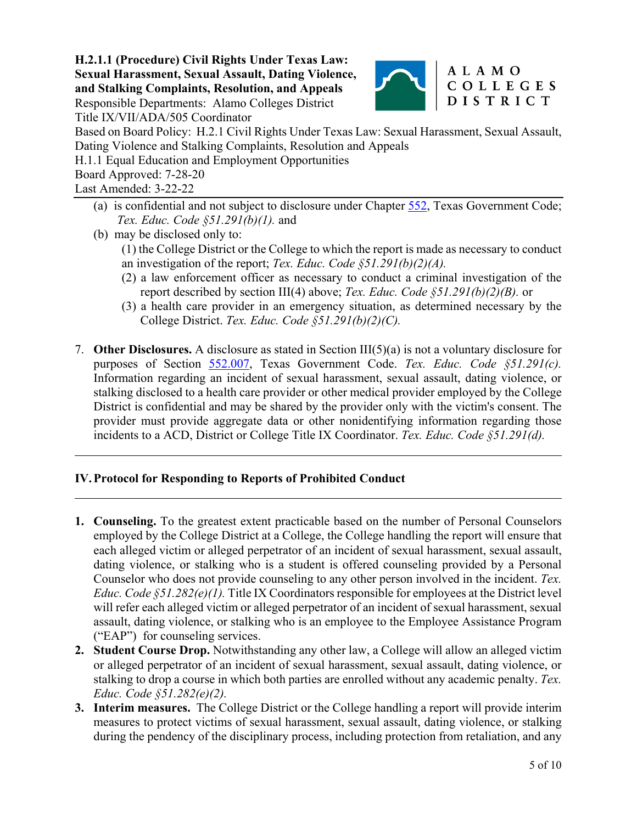

### ALAMO COLLEGES **DISTRICT**

Title IX/VII/ADA/505 Coordinator Based on Board Policy: H.2.1 Civil Rights Under Texas Law: Sexual Harassment, Sexual Assault,

- Dating Violence and Stalking Complaints, Resolution and Appeals
- H.1.1 Equal Education and Employment Opportunities

Board Approved: 7-28-20

Last Amended: 3-22-22

 $\overline{a}$ 

 $\overline{a}$ 

- (a) is confidential and not subject to disclosure under Chapter 552, Texas Government Code; *Tex. Educ. Code §51.291(b)(1).* and
- (b) may be disclosed only to:
	- (1) the College District or the College to which the report is made as necessary to conduct an investigation of the report; *Tex. Educ. Code §51.291(b)(2)(A).*
	- (2) a law enforcement officer as necessary to conduct a criminal investigation of the report described by section III(4) above; *Tex. Educ. Code §51.291(b)(2)(B).* or
	- (3) a health care provider in an emergency situation, as determined necessary by the College District. *Tex. Educ. Code §51.291(b)(2)(C).*
- 7. **Other Disclosures.** A disclosure as stated in Section III(5)(a) is not a voluntary disclosure for purposes of Section 552.007, Texas Government Code. *Tex. Educ. Code §51.291(c).*  Information regarding an incident of sexual harassment, sexual assault, dating violence, or stalking disclosed to a health care provider or other medical provider employed by the College District is confidential and may be shared by the provider only with the victim's consent. The provider must provide aggregate data or other nonidentifying information regarding those incidents to a ACD, District or College Title IX Coordinator. *Tex. Educ. Code §51.291(d).*

## **IV.Protocol for Responding to Reports of Prohibited Conduct**

- **1. Counseling.** To the greatest extent practicable based on the number of Personal Counselors employed by the College District at a College, the College handling the report will ensure that each alleged victim or alleged perpetrator of an incident of sexual harassment, sexual assault, dating violence, or stalking who is a student is offered counseling provided by a Personal Counselor who does not provide counseling to any other person involved in the incident. *Tex. Educ. Code §51.282(e)(1).* Title IX Coordinators responsible for employees at the District level will refer each alleged victim or alleged perpetrator of an incident of sexual harassment, sexual assault, dating violence, or stalking who is an employee to the Employee Assistance Program ("EAP") for counseling services.
- **2. Student Course Drop.** Notwithstanding any other law, a College will allow an alleged victim or alleged perpetrator of an incident of sexual harassment, sexual assault, dating violence, or stalking to drop a course in which both parties are enrolled without any academic penalty. *Tex. Educ. Code §51.282(e)(2).*
- **3. Interim measures.** The College District or the College handling a report will provide interim measures to protect victims of sexual harassment, sexual assault, dating violence, or stalking during the pendency of the disciplinary process, including protection from retaliation, and any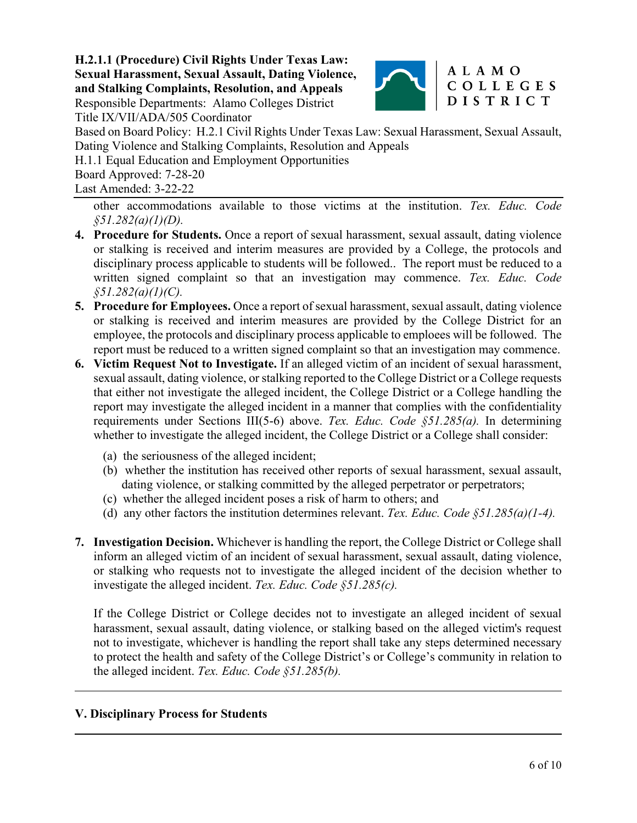

#### ALAMO COLLEGES **DISTRICT**

Title IX/VII/ADA/505 Coordinator

Based on Board Policy: H.2.1 Civil Rights Under Texas Law: Sexual Harassment, Sexual Assault, Dating Violence and Stalking Complaints, Resolution and Appeals

H.1.1 Equal Education and Employment Opportunities

Board Approved: 7-28-20

Last Amended: 3-22-22

other accommodations available to those victims at the institution. *Tex. Educ. Code §51.282(a)(1)(D).*

- **4. Procedure for Students.** Once a report of sexual harassment, sexual assault, dating violence or stalking is received and interim measures are provided by a College, the protocols and disciplinary process applicable to students will be followed.. The report must be reduced to a written signed complaint so that an investigation may commence. *Tex. Educ. Code §51.282(a)(1)(C).*
- **5. Procedure for Employees.** Once a report of sexual harassment, sexual assault, dating violence or stalking is received and interim measures are provided by the College District for an employee, the protocols and disciplinary process applicable to emploees will be followed. The report must be reduced to a written signed complaint so that an investigation may commence.
- **6. Victim Request Not to Investigate.** If an alleged victim of an incident of sexual harassment, sexual assault, dating violence, or stalking reported to the College District or a College requests that either not investigate the alleged incident, the College District or a College handling the report may investigate the alleged incident in a manner that complies with the confidentiality requirements under Sections III(5-6) above. *Tex. Educ. Code §51.285(a).* In determining whether to investigate the alleged incident, the College District or a College shall consider:
	- (a) the seriousness of the alleged incident;
	- (b) whether the institution has received other reports of sexual harassment, sexual assault, dating violence, or stalking committed by the alleged perpetrator or perpetrators;
	- (c) whether the alleged incident poses a risk of harm to others; and
	- (d) any other factors the institution determines relevant. *Tex. Educ. Code §51.285(a)(1-4).*
- **7. Investigation Decision.** Whichever is handling the report, the College District or College shall inform an alleged victim of an incident of sexual harassment, sexual assault, dating violence, or stalking who requests not to investigate the alleged incident of the decision whether to investigate the alleged incident. *Tex. Educ. Code §51.285(c).*

If the College District or College decides not to investigate an alleged incident of sexual harassment, sexual assault, dating violence, or stalking based on the alleged victim's request not to investigate, whichever is handling the report shall take any steps determined necessary to protect the health and safety of the College District's or College's community in relation to the alleged incident. *Tex. Educ. Code §51.285(b).* 

## **V. Disciplinary Process for Students**

l

 $\overline{a}$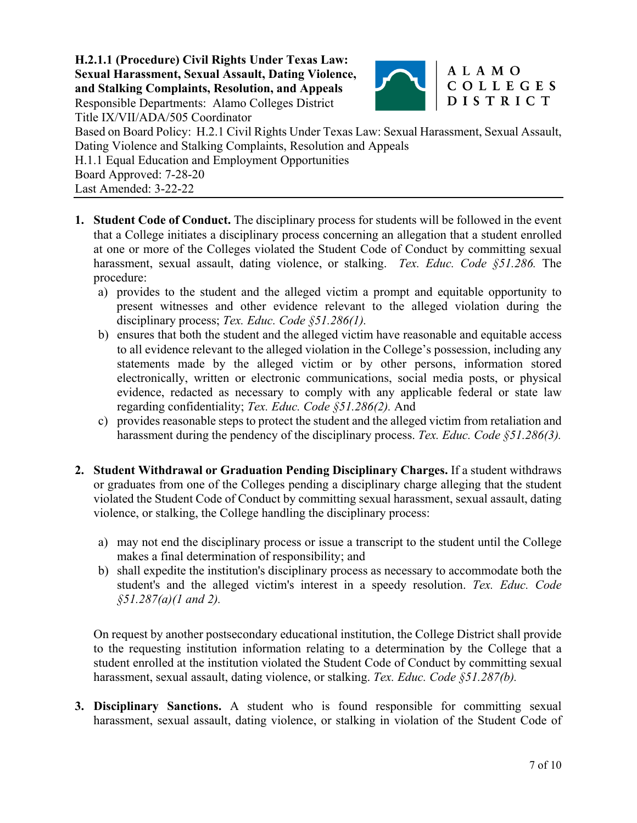

### ALAMO COLLEGES **DISTRICT**

Title IX/VII/ADA/505 Coordinator Based on Board Policy: H.2.1 Civil Rights Under Texas Law: Sexual Harassment, Sexual Assault, Dating Violence and Stalking Complaints, Resolution and Appeals H.1.1 Equal Education and Employment Opportunities Board Approved: 7-28-20 Last Amended: 3-22-22

- **1. Student Code of Conduct.** The disciplinary process for students will be followed in the event that a College initiates a disciplinary process concerning an allegation that a student enrolled at one or more of the Colleges violated the Student Code of Conduct by committing sexual harassment, sexual assault, dating violence, or stalking. *Tex. Educ. Code §51.286.* The procedure:
	- a) provides to the student and the alleged victim a prompt and equitable opportunity to present witnesses and other evidence relevant to the alleged violation during the disciplinary process; *Tex. Educ. Code §51.286(1).*
	- b) ensures that both the student and the alleged victim have reasonable and equitable access to all evidence relevant to the alleged violation in the College's possession, including any statements made by the alleged victim or by other persons, information stored electronically, written or electronic communications, social media posts, or physical evidence, redacted as necessary to comply with any applicable federal or state law regarding confidentiality; *Tex. Educ. Code §51.286(2).* And
	- c) provides reasonable steps to protect the student and the alleged victim from retaliation and harassment during the pendency of the disciplinary process. *Tex. Educ. Code §51.286(3).*
- **2. Student Withdrawal or Graduation Pending Disciplinary Charges.** If a student withdraws or graduates from one of the Colleges pending a disciplinary charge alleging that the student violated the Student Code of Conduct by committing sexual harassment, sexual assault, dating violence, or stalking, the College handling the disciplinary process:
	- a) may not end the disciplinary process or issue a transcript to the student until the College makes a final determination of responsibility; and
	- b) shall expedite the institution's disciplinary process as necessary to accommodate both the student's and the alleged victim's interest in a speedy resolution. *Tex. Educ. Code §51.287(a)(1 and 2).*

On request by another postsecondary educational institution, the College District shall provide to the requesting institution information relating to a determination by the College that a student enrolled at the institution violated the Student Code of Conduct by committing sexual harassment, sexual assault, dating violence, or stalking. *Tex. Educ. Code §51.287(b).* 

**3. Disciplinary Sanctions.** A student who is found responsible for committing sexual harassment, sexual assault, dating violence, or stalking in violation of the Student Code of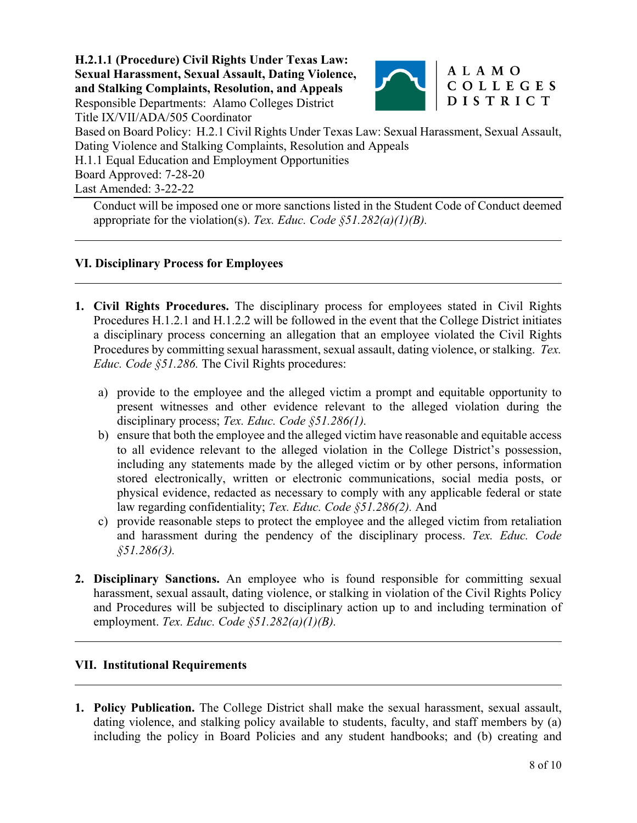

### ALAMO COLLEGES **DISTRICT**

Title IX/VII/ADA/505 Coordinator Based on Board Policy: H.2.1 Civil Rights Under Texas Law: Sexual Harassment, Sexual Assault, Dating Violence and Stalking Complaints, Resolution and Appeals

H.1.1 Equal Education and Employment Opportunities

Board Approved: 7-28-20

Last Amended: 3-22-22

l

 $\overline{a}$ 

 $\overline{a}$ 

l

Conduct will be imposed one or more sanctions listed in the Student Code of Conduct deemed appropriate for the violation(s). *Tex. Educ. Code §51.282(a)(1)(B).*

# **VI. Disciplinary Process for Employees**

- **1. Civil Rights Procedures.** The disciplinary process for employees stated in Civil Rights Procedures H.1.2.1 and H.1.2.2 will be followed in the event that the College District initiates a disciplinary process concerning an allegation that an employee violated the Civil Rights Procedures by committing sexual harassment, sexual assault, dating violence, or stalking. *Tex. Educ. Code §51.286.* The Civil Rights procedures:
	- a) provide to the employee and the alleged victim a prompt and equitable opportunity to present witnesses and other evidence relevant to the alleged violation during the disciplinary process; *Tex. Educ. Code §51.286(1).*
	- b) ensure that both the employee and the alleged victim have reasonable and equitable access to all evidence relevant to the alleged violation in the College District's possession, including any statements made by the alleged victim or by other persons, information stored electronically, written or electronic communications, social media posts, or physical evidence, redacted as necessary to comply with any applicable federal or state law regarding confidentiality; *Tex. Educ. Code §51.286(2).* And
	- c) provide reasonable steps to protect the employee and the alleged victim from retaliation and harassment during the pendency of the disciplinary process. *Tex. Educ. Code §51.286(3).*
- **2. Disciplinary Sanctions.** An employee who is found responsible for committing sexual harassment, sexual assault, dating violence, or stalking in violation of the Civil Rights Policy and Procedures will be subjected to disciplinary action up to and including termination of employment. *Tex. Educ. Code §51.282(a)(1)(B).*

## **VII. Institutional Requirements**

**1. Policy Publication.** The College District shall make the sexual harassment, sexual assault, dating violence, and stalking policy available to students, faculty, and staff members by (a) including the policy in Board Policies and any student handbooks; and (b) creating and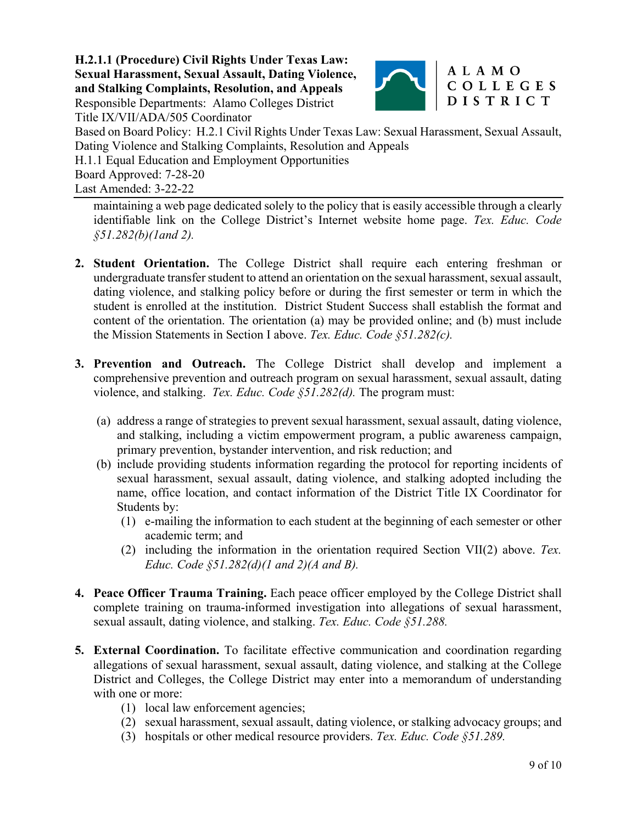

### ALAMO COLLEGES **DISTRICT**

Title IX/VII/ADA/505 Coordinator

Based on Board Policy: H.2.1 Civil Rights Under Texas Law: Sexual Harassment, Sexual Assault, Dating Violence and Stalking Complaints, Resolution and Appeals

H.1.1 Equal Education and Employment Opportunities

Board Approved: 7-28-20

Last Amended: 3-22-22

maintaining a web page dedicated solely to the policy that is easily accessible through a clearly identifiable link on the College District's Internet website home page. *Tex. Educ. Code §51.282(b)(1and 2).*

- **2. Student Orientation.** The College District shall require each entering freshman or undergraduate transfer student to attend an orientation on the sexual harassment, sexual assault, dating violence, and stalking policy before or during the first semester or term in which the student is enrolled at the institution. District Student Success shall establish the format and content of the orientation. The orientation (a) may be provided online; and (b) must include the Mission Statements in Section I above. *Tex. Educ. Code §51.282(c).*
- **3. Prevention and Outreach.** The College District shall develop and implement a comprehensive prevention and outreach program on sexual harassment, sexual assault, dating violence, and stalking. *Tex. Educ. Code §51.282(d).* The program must:
	- (a) address a range of strategies to prevent sexual harassment, sexual assault, dating violence, and stalking, including a victim empowerment program, a public awareness campaign, primary prevention, bystander intervention, and risk reduction; and
	- (b) include providing students information regarding the protocol for reporting incidents of sexual harassment, sexual assault, dating violence, and stalking adopted including the name, office location, and contact information of the District Title IX Coordinator for Students by:
		- (1) e-mailing the information to each student at the beginning of each semester or other academic term; and
		- (2) including the information in the orientation required Section VII(2) above. *Tex. Educ. Code §51.282(d)(1 and 2)(A and B).*
- **4. Peace Officer Trauma Training.** Each peace officer employed by the College District shall complete training on trauma-informed investigation into allegations of sexual harassment, sexual assault, dating violence, and stalking. *Tex. Educ. Code §51.288.*
- **5. External Coordination.** To facilitate effective communication and coordination regarding allegations of sexual harassment, sexual assault, dating violence, and stalking at the College District and Colleges, the College District may enter into a memorandum of understanding with one or more:
	- (1) local law enforcement agencies;
	- (2) sexual harassment, sexual assault, dating violence, or stalking advocacy groups; and
	- (3) hospitals or other medical resource providers. *Tex. Educ. Code §51.289.*